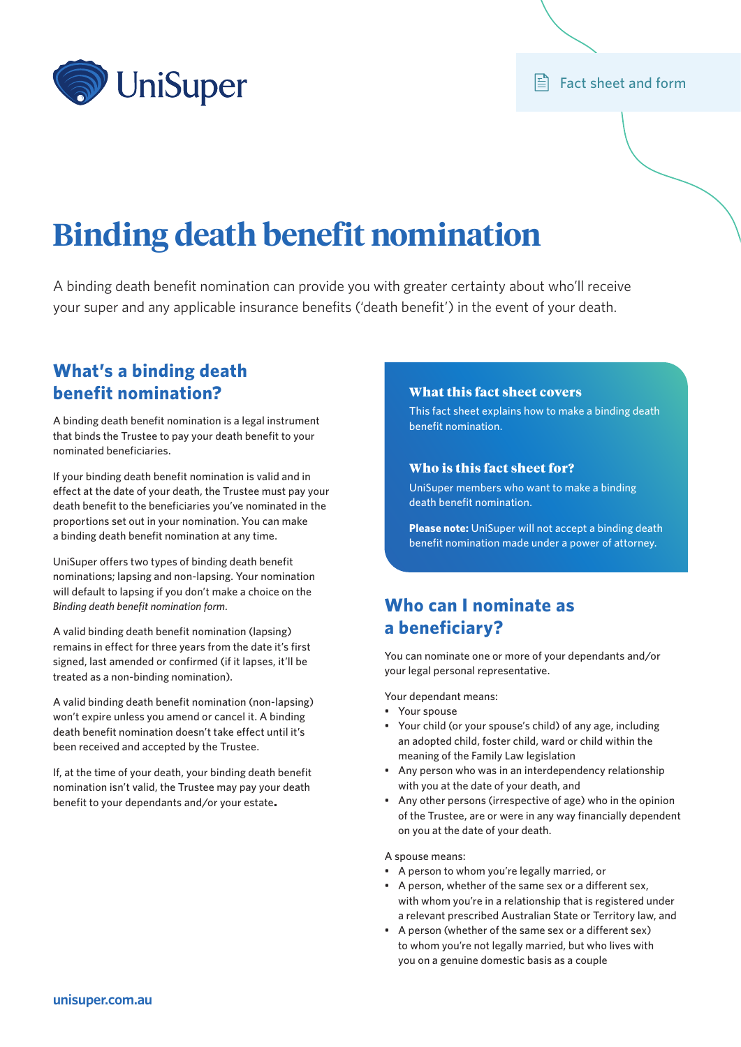

### $\mathbb{E}$  Fact sheet and form

# **Binding death benefit nomination**

A binding death benefit nomination can provide you with greater certainty about who'll receive your super and any applicable insurance benefits ('death benefit') in the event of your death.

## **What's a binding death benefit nomination?**

A binding death benefit nomination is a legal instrument that binds the Trustee to pay your death benefit to your nominated beneficiaries.

If your binding death benefit nomination is valid and in effect at the date of your death, the Trustee must pay your death benefit to the beneficiaries you've nominated in the proportions set out in your nomination. You can make a binding death benefit nomination at any time.

UniSuper offers two types of binding death benefit nominations; lapsing and non-lapsing. Your nomination will default to lapsing if you don't make a choice on the *Binding death benefit nomination form.* 

A valid binding death benefit nomination (lapsing) remains in effect for three years from the date it's first signed, last amended or confirmed (if it lapses, it'll be treated as a non-binding nomination).

A valid binding death benefit nomination (non-lapsing) won't expire unless you amend or cancel it. A binding death benefit nomination doesn't take effect until it's been received and accepted by the Trustee.

If, at the time of your death, your binding death benefit nomination isn't valid, the Trustee may pay your death benefit to your dependants and/or your estate.

### What this fact sheet covers

This fact sheet explains how to make a binding death benefit nomination.

### Who is this fact sheet for?

UniSuper members who want to make a binding death benefit nomination.

**Please note:** UniSuper will not accept a binding death benefit nomination made under a power of attorney.

## **Who can I nominate as a beneficiary?**

You can nominate one or more of your dependants and/or your legal personal representative.

Your dependant means:

- Your spouse
- Your child (or your spouse's child) of any age, including an adopted child, foster child, ward or child within the meaning of the Family Law legislation
- Any person who was in an interdependency relationship with you at the date of your death, and
- Any other persons (irrespective of age) who in the opinion of the Trustee, are or were in any way financially dependent on you at the date of your death.

### A spouse means:

- A person to whom you're legally married, or
- A person, whether of the same sex or a different sex, with whom you're in a relationship that is registered under a relevant prescribed Australian State or Territory law, and
- A person (whether of the same sex or a different sex) to whom you're not legally married, but who lives with you on a genuine domestic basis as a couple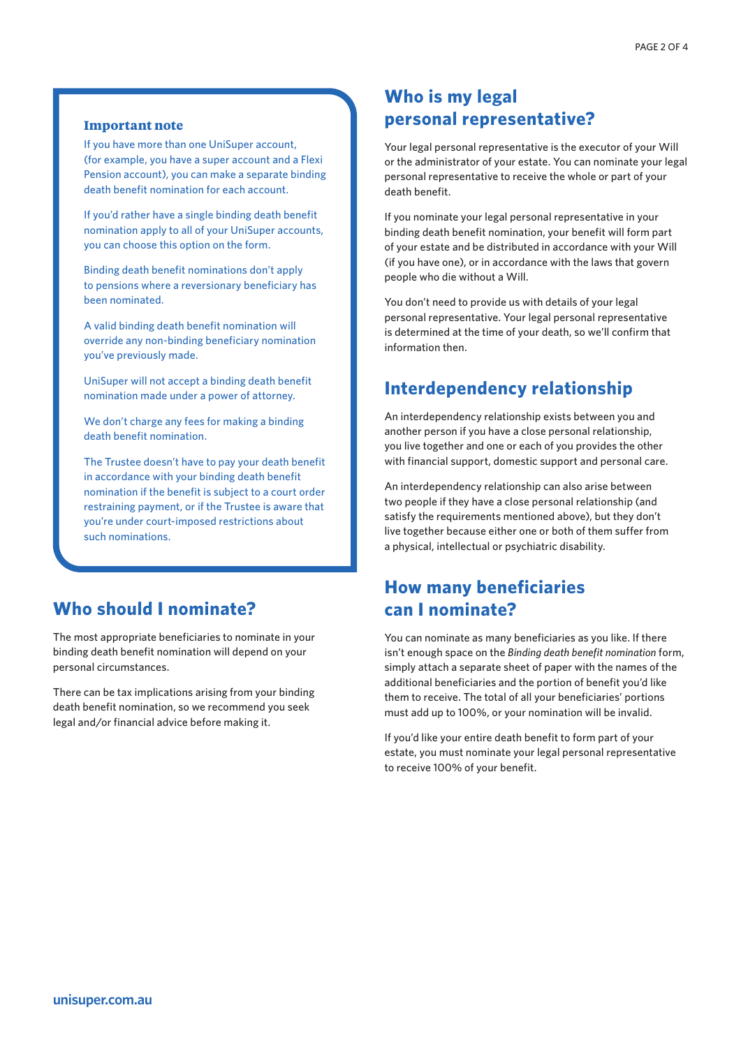### **Important note**

If you have more than one UniSuper account, (for example, you have a super account and a Flexi Pension account), you can make a separate binding death benefit nomination for each account.

If you'd rather have a single binding death benefit nomination apply to all of your UniSuper accounts, you can choose this option on the form.

Binding death benefit nominations don't apply to pensions where a reversionary beneficiary has been nominated.

A valid binding death benefit nomination will override any non-binding beneficiary nomination you've previously made.

UniSuper will not accept a binding death benefit nomination made under a power of attorney.

We don't charge any fees for making a binding death benefit nomination.

The Trustee doesn't have to pay your death benefit in accordance with your binding death benefit nomination if the benefit is subject to a court order restraining payment, or if the Trustee is aware that you're under court-imposed restrictions about such nominations.

### **Who should I nominate?**

The most appropriate beneficiaries to nominate in your binding death benefit nomination will depend on your personal circumstances.

There can be tax implications arising from your binding death benefit nomination, so we recommend you seek legal and/or financial advice before making it.

## **Who is my legal personal representative?**

Your legal personal representative is the executor of your Will or the administrator of your estate. You can nominate your legal personal representative to receive the whole or part of your death benefit.

If you nominate your legal personal representative in your binding death benefit nomination, your benefit will form part of your estate and be distributed in accordance with your Will (if you have one), or in accordance with the laws that govern people who die without a Will.

You don't need to provide us with details of your legal personal representative. Your legal personal representative is determined at the time of your death, so we'll confirm that information then.

## **Interdependency relationship**

An interdependency relationship exists between you and another person if you have a close personal relationship, you live together and one or each of you provides the other with financial support, domestic support and personal care.

An interdependency relationship can also arise between two people if they have a close personal relationship (and satisfy the requirements mentioned above), but they don't live together because either one or both of them suffer from a physical, intellectual or psychiatric disability.

## **How many beneficiaries can I nominate?**

You can nominate as many beneficiaries as you like. If there isn't enough space on the *Binding death benefit nomination* form, simply attach a separate sheet of paper with the names of the additional beneficiaries and the portion of benefit you'd like them to receive. The total of all your beneficiaries' portions must add up to 100%, or your nomination will be invalid.

If you'd like your entire death benefit to form part of your estate, you must nominate your legal personal representative to receive 100% of your benefit.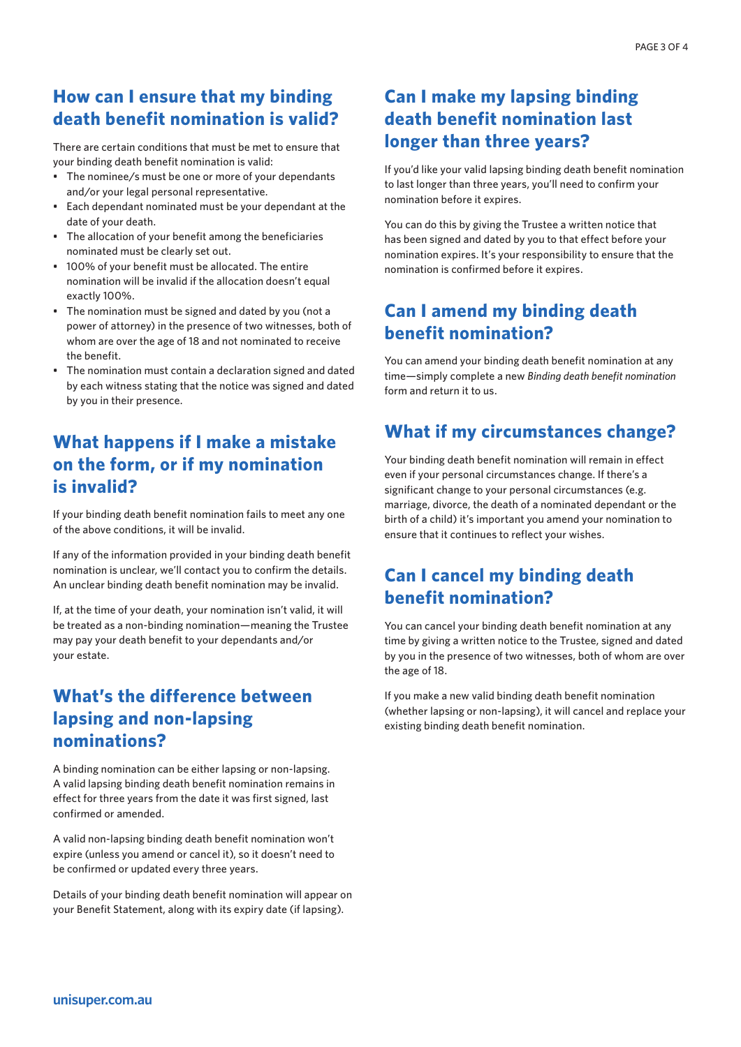## **How can I ensure that my binding death benefit nomination is valid?**

There are certain conditions that must be met to ensure that your binding death benefit nomination is valid:

- The nominee/s must be one or more of your dependants and/or your legal personal representative.
- Each dependant nominated must be your dependant at the date of your death.
- The allocation of your benefit among the beneficiaries nominated must be clearly set out.
- 100% of your benefit must be allocated. The entire nomination will be invalid if the allocation doesn't equal exactly 100%.
- The nomination must be signed and dated by you (not a power of attorney) in the presence of two witnesses, both of whom are over the age of 18 and not nominated to receive the benefit.
- The nomination must contain a declaration signed and dated by each witness stating that the notice was signed and dated by you in their presence.

# **What happens if I make a mistake on the form, or if my nomination is invalid?**

If your binding death benefit nomination fails to meet any one of the above conditions, it will be invalid.

If any of the information provided in your binding death benefit nomination is unclear, we'll contact you to confirm the details. An unclear binding death benefit nomination may be invalid.

If, at the time of your death, your nomination isn't valid, it will be treated as a non-binding nomination—meaning the Trustee may pay your death benefit to your dependants and/or your estate.

## **What's the difference between lapsing and non-lapsing nominations?**

A binding nomination can be either lapsing or non-lapsing. A valid lapsing binding death benefit nomination remains in effect for three years from the date it was first signed, last confirmed or amended.

A valid non-lapsing binding death benefit nomination won't expire (unless you amend or cancel it), so it doesn't need to be confirmed or updated every three years.

Details of your binding death benefit nomination will appear on your Benefit Statement, along with its expiry date (if lapsing).

# **Can I make my lapsing binding death benefit nomination last longer than three years?**

If you'd like your valid lapsing binding death benefit nomination to last longer than three years, you'll need to confirm your nomination before it expires.

You can do this by giving the Trustee a written notice that has been signed and dated by you to that effect before your nomination expires. It's your responsibility to ensure that the nomination is confirmed before it expires.

# **Can I amend my binding death benefit nomination?**

You can amend your binding death benefit nomination at any time—simply complete a new *Binding death benefit nomination*  form and return it to us.

# **What if my circumstances change?**

Your binding death benefit nomination will remain in effect even if your personal circumstances change. If there's a significant change to your personal circumstances (e.g. marriage, divorce, the death of a nominated dependant or the birth of a child) it's important you amend your nomination to ensure that it continues to reflect your wishes.

## **Can I cancel my binding death benefit nomination?**

You can cancel your binding death benefit nomination at any time by giving a written notice to the Trustee, signed and dated by you in the presence of two witnesses, both of whom are over the age of 18.

If you make a new valid binding death benefit nomination (whether lapsing or non-lapsing), it will cancel and replace your existing binding death benefit nomination.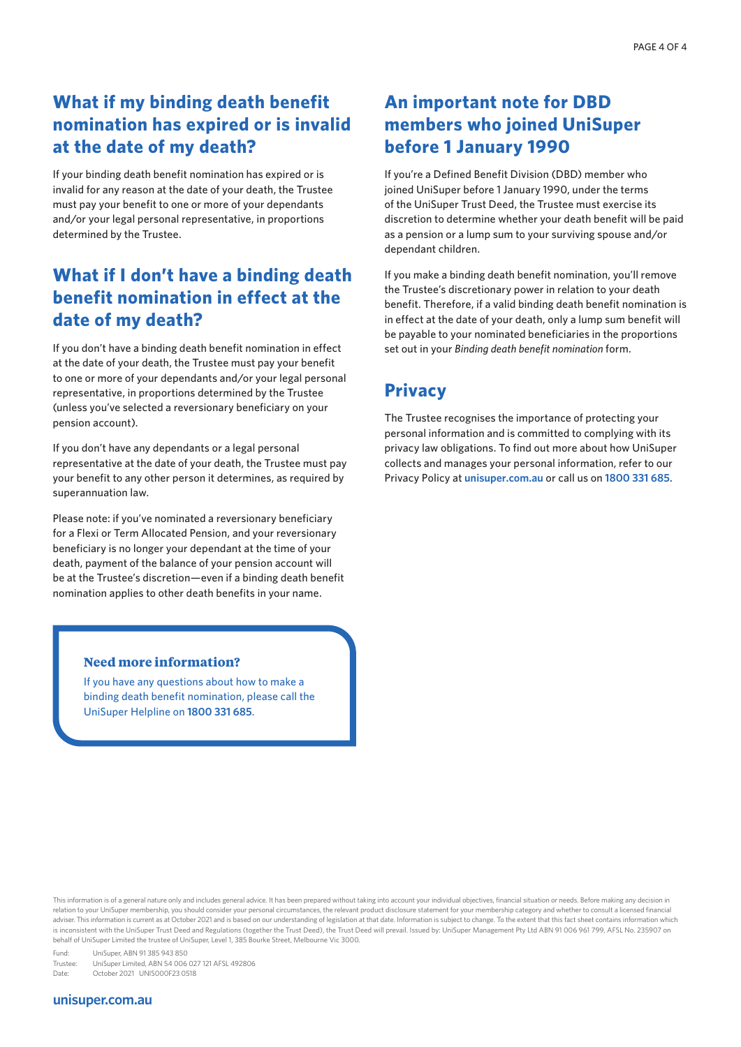## **What if my binding death benefit nomination has expired or is invalid at the date of my death?**

If your binding death benefit nomination has expired or is invalid for any reason at the date of your death, the Trustee must pay your benefit to one or more of your dependants and/or your legal personal representative, in proportions determined by the Trustee.

## **What if I don't have a binding death benefit nomination in effect at the date of my death?**

If you don't have a binding death benefit nomination in effect at the date of your death, the Trustee must pay your benefit to one or more of your dependants and/or your legal personal representative, in proportions determined by the Trustee (unless you've selected a reversionary beneficiary on your pension account).

If you don't have any dependants or a legal personal representative at the date of your death, the Trustee must pay your benefit to any other person it determines, as required by superannuation law.

Please note: if you've nominated a reversionary beneficiary for a Flexi or Term Allocated Pension, and your reversionary beneficiary is no longer your dependant at the time of your death, payment of the balance of your pension account will be at the Trustee's discretion—even if a binding death benefit nomination applies to other death benefits in your name.

## **An important note for DBD members who joined UniSuper before 1 January 1990**

If you're a Defined Benefit Division (DBD) member who joined UniSuper before 1 January 1990, under the terms of the UniSuper Trust Deed, the Trustee must exercise its discretion to determine whether your death benefit will be paid as a pension or a lump sum to your surviving spouse and/or dependant children.

If you make a binding death benefit nomination, you'll remove the Trustee's discretionary power in relation to your death benefit. Therefore, if a valid binding death benefit nomination is in effect at the date of your death, only a lump sum benefit will be payable to your nominated beneficiaries in the proportions set out in your *Binding death benefit nomination* form.

# **Privacy**

The Trustee recognises the importance of protecting your personal information and is committed to complying with its privacy law obligations. To find out more about how UniSuper collects and manages your personal information, refer to our Privacy Policy at **[unisuper.com.au](www.unisuper.com.au)** or call us on **1800 331 685**.

### **Need more information?**

If you have any questions about how to make a binding death benefit nomination, please call the UniSuper Helpline on **1800 331 685**.

Fund: UniSuper, ABN 91 385 943 850<br>Trustee: UniSuper Limited. ABN 54 006 UniSuper Limited, ABN 54 006 027 121 AFSL 492806 Date: October 2021 UNIS000F23 0518

### **[unisuper.com.au](www.unisuper.com.au)**

This information is of a general nature only and includes general advice. It has been prepared without taking into account your individual objectives, financial situation or needs. Before making any decision in relation to your UniSuper membership, you should consider your personal circumstances, the relevant product disclosure statement for your membership category and whether to consult a licensed financial adviser. This information is current as at October 2021 and is based on our understanding of legislation at that date. Information is subject to change. To the extent that this fact sheet contains information which is inconsistent with the UniSuper Trust Deed and Regulations (together the Trust Deed), the Trust Deed will prevail. Issued by: UniSuper Management Pty Ltd ABN 91 006 961 799, AFSL No. 235907 on behalf of UniSuper Limited the trustee of UniSuper, Level 1, 385 Bourke Street, Melbourne Vic 3000.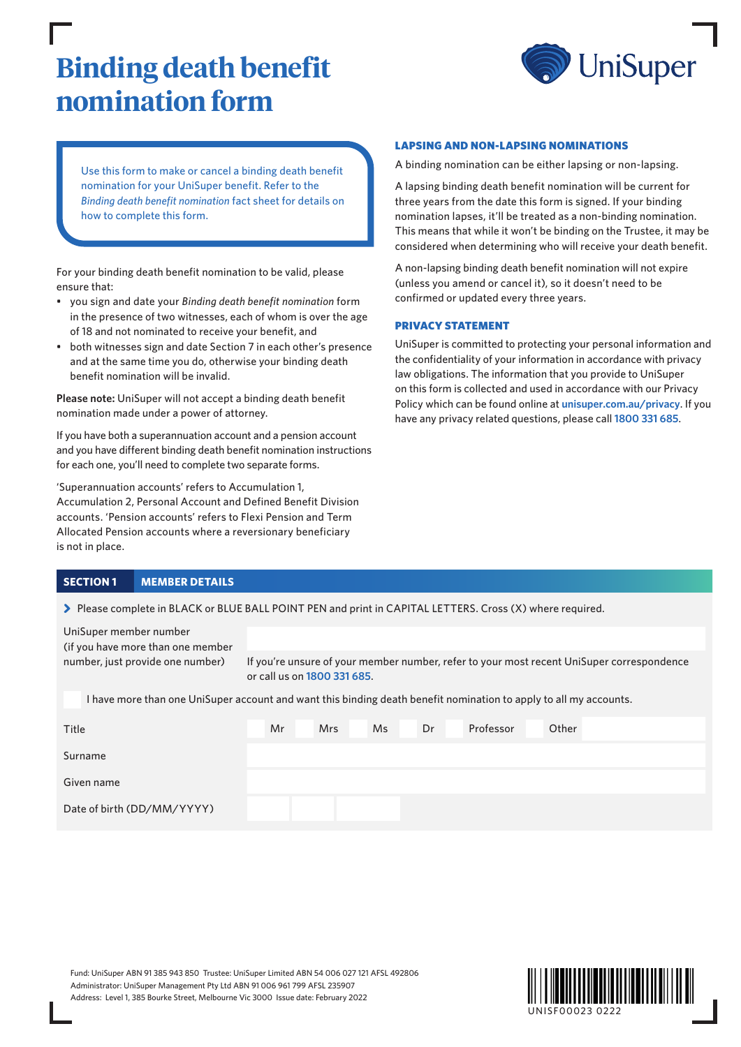# **Binding death benefit nomination form**



Use this form to make or cancel a binding death benefit nomination for your UniSuper benefit. Refer to the *Binding death benefit nomination* fact sheet for details on how to complete this form.

For your binding death benefit nomination to be valid, please ensure that:

- in the presence of two witnesses, each of whom is over the age of 18 and not nominated to receive your benefit, and
- and at the same time you do, otherwise your binding death benefit nomination will be invalid.

**Please note:** UniSuper will not accept a binding death benefit nomination made under a power of attorney.

If you have both a superannuation account and a pension account and you have different binding death benefit nomination instructions for each one, you'll need to complete two separate forms.

'Superannuation accounts' refers to Accumulation 1, Accumulation 2, Personal Account and Defined Benefit Division accounts. 'Pension accounts' refers to Flexi Pension and Term Allocated Pension accounts where a reversionary beneficiary is not in place.

### **SECTION 1 MEMBER DETAILS**

UniSuper member number

> Please complete in BLACK or BLUE BALL POINT PEN and print in CAPITAL LETTERS. Cross (X) where required.

- you sign and date your *Binding death benefit nomination* form
- both witnesses sign and date Section 7 in each other's presence

### LAPSING AND NON-LAPSING NOMINATIONS A binding nomination can be either lapsing or non-lapsing.

A lapsing binding death benefit nomination will be current for three years from the date this form is signed. If your binding nomination lapses, it'll be treated as a non-binding nomination. This means that while it won't be binding on the Trustee, it may be considered when determining who will receive your death benefit.

A non-lapsing binding death benefit nomination will not expire (unless you amend or cancel it), so it doesn't need to be confirmed or updated every three years.

### PRIVACY STATEMENT

UniSuper is committed to protecting your personal information and the confidentiality of your information in accordance with privacy law obligations. The information that you provide to UniSuper on this form is collected and used in accordance with our Privacy Policy which can be found online at **[unisuper.com.au/privacy](http://unisuper.com.au/privacy)** . If you have any privacy related questions, please call **1800 331 685**.

| (if you have more than one member |                                                                                           |
|-----------------------------------|-------------------------------------------------------------------------------------------|
| number, just provide one number)  | If you're unsure of your member number, refer to your most recent UniSuper correspondence |
|                                   | or call us on $1800$ $331$ $685$ .                                                        |

I have more than one UniSuper account and want this binding death benefit nomination to apply to all my accounts.

| Title                      | Mr | Mrs | Ms | Dr | Professor | Other |
|----------------------------|----|-----|----|----|-----------|-------|
| Surname                    |    |     |    |    |           |       |
| Given name                 |    |     |    |    |           |       |
| Date of birth (DD/MM/YYYY) |    |     |    |    |           |       |

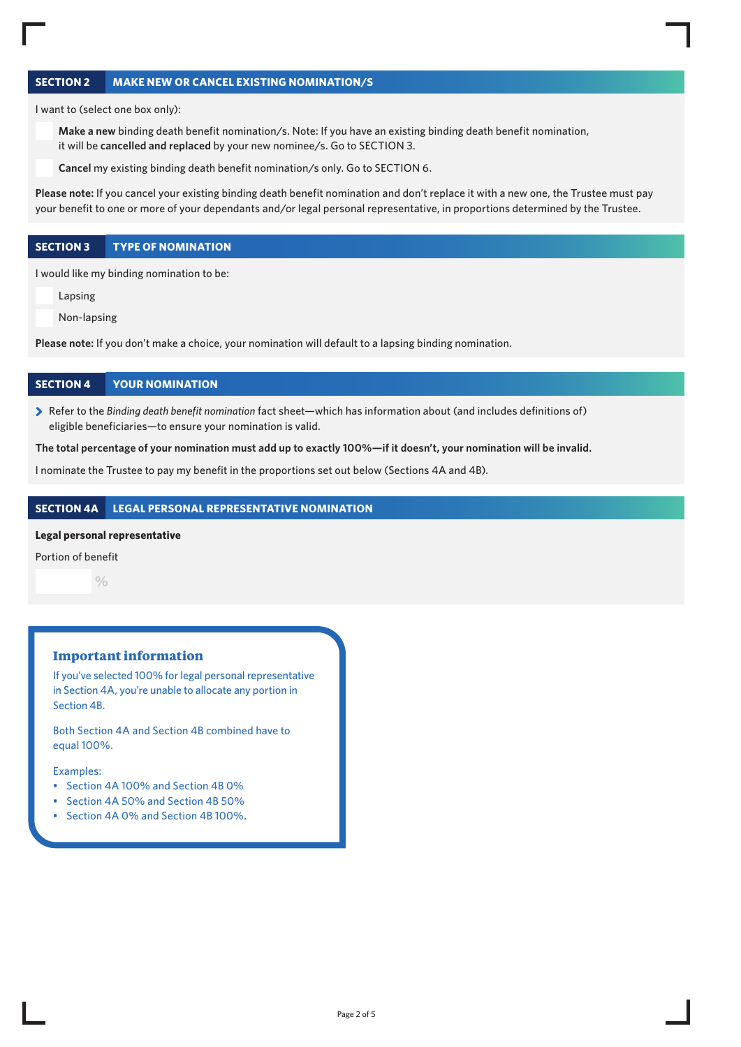### **SECTION 2 MAKE NEW OR CANCEL EXISTING NOMINATION/S**

I want to (select one box only):

**Make a new** binding death benefit nomination/s. Note: If you have an existing binding death benefit nomination, it will be **cancelled and replaced** by your new nominee/s. Go to SECTION 3.

**Cancel** my existing binding death benefit nomination/s only. Go to SECTION 6.

**Please note:** If you cancel your existing binding death benefit nomination and don't replace it with a new one, the Trustee must pay your benefit to one or more of your dependants and/or legal personal representative, in proportions determined by the Trustee.

### **SECTION 3 TYPE OF NOMINATION**

I would like my binding nomination to be:

Lapsing

Non-lapsing

**Please note:** If you don't make a choice, your nomination will default to a lapsing binding nomination.

### **SECTION 4 YOUR NOMINATION**

> Refer to the *Binding death benefit nomination* fact sheet—which has information about (and includes definitions of) eligible beneficiaries—to ensure your nomination is valid.

### **The total percentage of your nomination must add up to exactly 100%—if it doesn't, your nomination will be invalid.**

I nominate the Trustee to pay my benefit in the proportions set out below (Sections 4A and 4B).

### **SECTION 4A LEGAL PERSONAL REPRESENTATIVE NOMINATION**

#### **Legal personal representative**

Portion of benefit

 $\frac{0}{0}$ 

### **Important information**

If you've selected 100% for legal personal representative in Section 4A, you're unable to allocate any portion in Section 4B.

Both Section 4A and Section 4B combined have to equal 100%.

### Examples:

- Section 4A 100% and Section 4B 0%
- Section 4A 50% and Section 4B 50%
- Section 4A 0% and Section 4B 100%.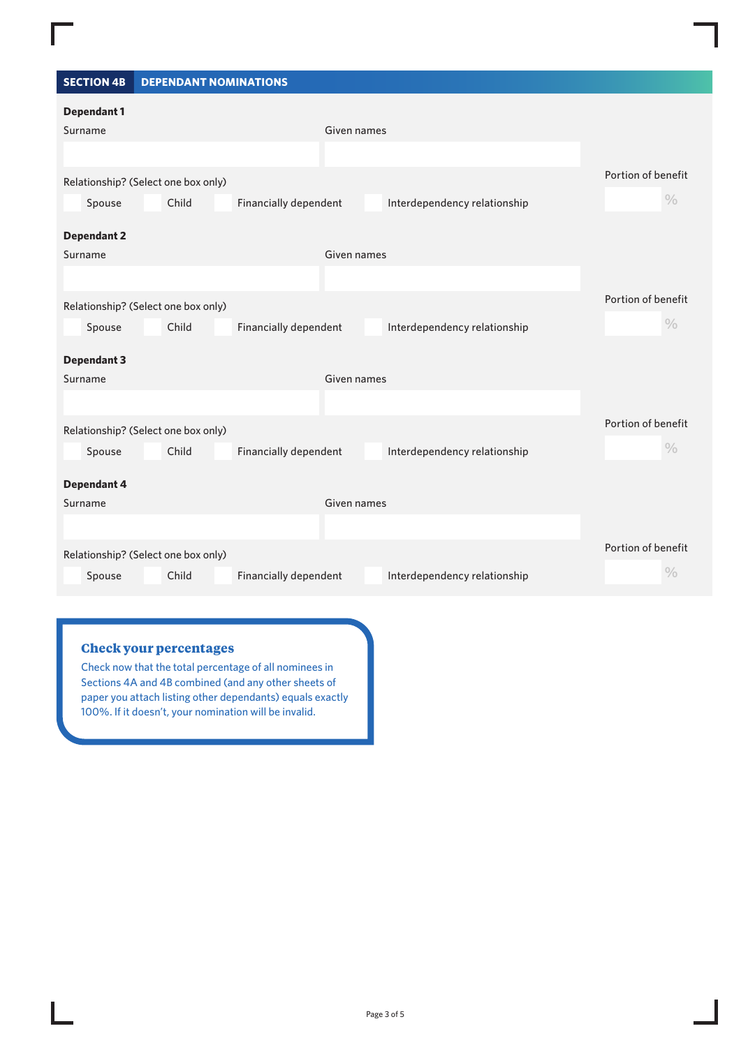### **SECTION 4B DEPENDANT NOMINATIONS**

| <b>Dependant 1</b>                  |                       |                              |                    |
|-------------------------------------|-----------------------|------------------------------|--------------------|
| Surname                             | Given names           |                              |                    |
|                                     |                       |                              |                    |
| Relationship? (Select one box only) |                       |                              | Portion of benefit |
| Child<br>Spouse                     | Financially dependent | Interdependency relationship | $\frac{0}{0}$      |
| <b>Dependant 2</b>                  |                       |                              |                    |
| Surname                             | Given names           |                              |                    |
|                                     |                       |                              |                    |
| Relationship? (Select one box only) |                       |                              | Portion of benefit |
| Child<br>Spouse                     | Financially dependent | Interdependency relationship | $\frac{0}{0}$      |
| <b>Dependant 3</b>                  |                       |                              |                    |
| Surname                             | Given names           |                              |                    |
|                                     |                       |                              |                    |
| Relationship? (Select one box only) |                       |                              | Portion of benefit |
| Spouse<br>Child                     | Financially dependent | Interdependency relationship | $\frac{0}{0}$      |
| <b>Dependant 4</b>                  |                       |                              |                    |
| Surname                             | Given names           |                              |                    |
|                                     |                       |                              |                    |
| Relationship? (Select one box only) |                       |                              | Portion of benefit |
| Child<br>Spouse                     | Financially dependent | Interdependency relationship | $\frac{0}{0}$      |

### **Check your percentages**

Check now that the total percentage of all nominees in Sections 4A and 4B combined (and any other sheets of paper you attach listing other dependants) equals exactly 100%. If it doesn't, your nomination will be invalid.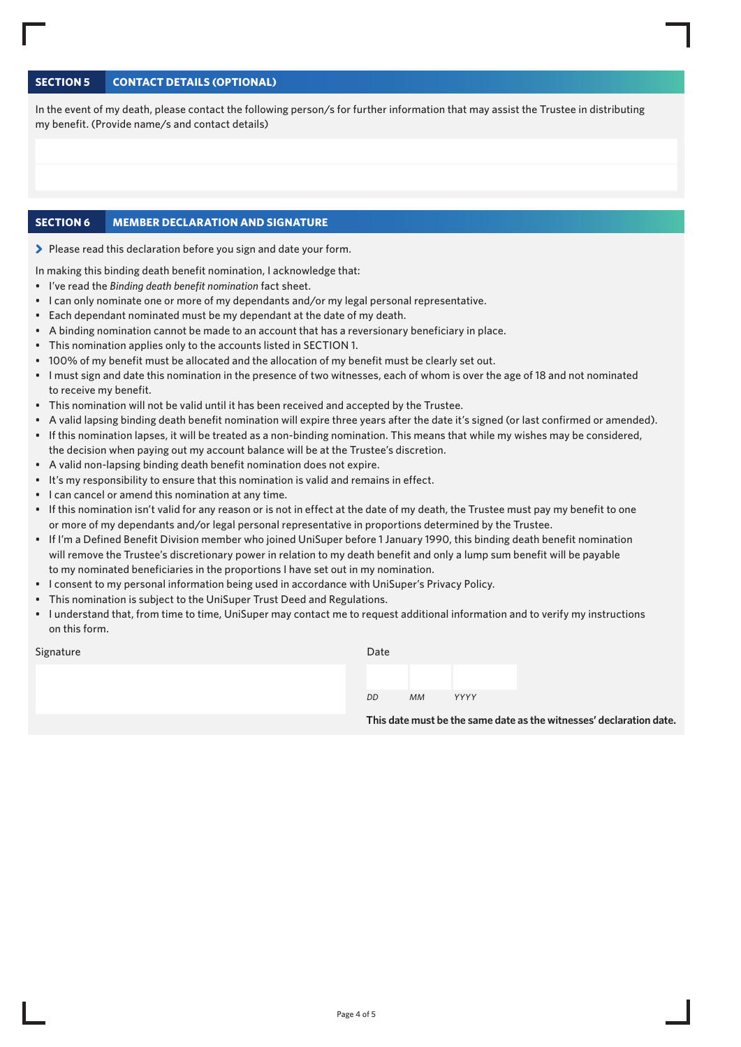### **SECTION 5 CONTACT DETAILS (OPTIONAL)**

In the event of my death, please contact the following person/s for further information that may assist the Trustee in distributing my benefit. (Provide name/s and contact details)

### **SECTION 6 MEMBER DECLARATION AND SIGNATURE**

> Please read this declaration before you sign and date your form.

In making this binding death benefit nomination, I acknowledge that:

- I've read the *Binding death benefit nomination* fact sheet.
- I can only nominate one or more of my dependants and/or my legal personal representative.
- Each dependant nominated must be my dependant at the date of my death.
- A binding nomination cannot be made to an account that has a reversionary beneficiary in place.
- This nomination applies only to the accounts listed in SECTION 1.
- 100% of my benefit must be allocated and the allocation of my benefit must be clearly set out.
- I must sign and date this nomination in the presence of two witnesses, each of whom is over the age of 18 and not nominated to receive my benefit.
- This nomination will not be valid until it has been received and accepted by the Trustee.
- A valid lapsing binding death benefit nomination will expire three years after the date it's signed (or last confirmed or amended).
- If this nomination lapses, it will be treated as a non-binding nomination. This means that while my wishes may be considered, the decision when paying out my account balance will be at the Trustee's discretion.
- A valid non-lapsing binding death benefit nomination does not expire.
- It's my responsibility to ensure that this nomination is valid and remains in effect.
- I can cancel or amend this nomination at any time.
- If this nomination isn't valid for any reason or is not in effect at the date of my death, the Trustee must pay my benefit to one or more of my dependants and/or legal personal representative in proportions determined by the Trustee.
- If I'm a Defined Benefit Division member who joined UniSuper before 1 January 1990, this binding death benefit nomination will remove the Trustee's discretionary power in relation to my death benefit and only a lump sum benefit will be payable to my nominated beneficiaries in the proportions I have set out in my nomination.
- I consent to my personal information being used in accordance with UniSuper's Privacy Policy.
- This nomination is subject to the UniSuper Trust Deed and Regulations.
- I understand that, from time to time, UniSuper may contact me to request additional information and to verify my instructions on this form.

Signature

| Date |    |      |  |
|------|----|------|--|
|      |    |      |  |
| DD   | МM | YYYY |  |

**This date must be the same date as the witnesses' declaration date.**